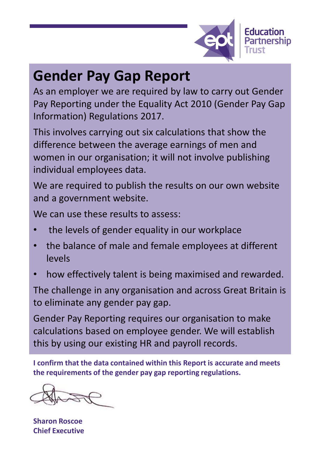

## **Gender Pay Gap Report**

As an employer we are required by law to carry out Gender Pay Reporting under the Equality Act 2010 (Gender Pay Gap Information) Regulations 2017.

This involves carrying out six calculations that show the difference between the average earnings of men and women in our organisation; it will not involve publishing individual employees data.

We are required to publish the results on our own website and a government website.

We can use these results to assess:

- the levels of gender equality in our workplace
- the balance of male and female employees at different levels
- how effectively talent is being maximised and rewarded.

The challenge in any organisation and across Great Britain is to eliminate any gender pay gap.

Gender Pay Reporting requires our organisation to make calculations based on employee gender. We will establish this by using our existing HR and payroll records.

**I confirm that the data contained within this Report is accurate and meets the requirements of the gender pay gap reporting regulations.**

**Sharon Roscoe Chief Executive**